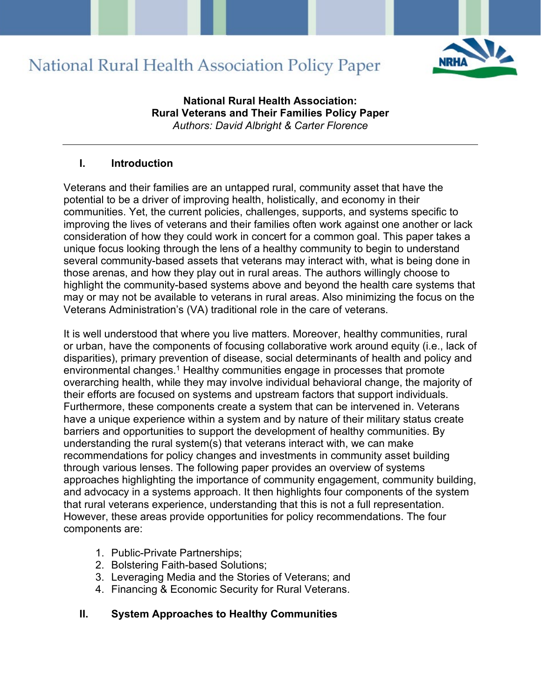

**National Rural Health Association: Rural Veterans and Their Families Policy Paper** *Authors: David Albright & Carter Florence*

#### **I. Introduction**

Veterans and their families are an untapped rural, community asset that have the potential to be a driver of improving health, holistically, and economy in their communities. Yet, the current policies, challenges, supports, and systems specific to improving the lives of veterans and their families often work against one another or lack consideration of how they could work in concert for a common goal. This paper takes a unique focus looking through the lens of a healthy community to begin to understand several community-based assets that veterans may interact with, what is being done in those arenas, and how they play out in rural areas. The authors willingly choose to highlight the community-based systems above and beyond the health care systems that may or may not be available to veterans in rural areas. Also minimizing the focus on the Veterans Administration's (VA) traditional role in the care of veterans.

It is well understood that where you live matters. Moreover, healthy communities, rural or urban, have the components of focusing collaborative work around equity (i.e., lack of disparities), primary prevention of disease, social determinants of health and policy and environmental changes.<sup>1</sup> Healthy communities engage in processes that promote overarching health, while they may involve individual behavioral change, the majority of their efforts are focused on systems and upstream factors that support individuals. Furthermore, these components create a system that can be intervened in. Veterans have a unique experience within a system and by nature of their military status create barriers and opportunities to support the development of healthy communities. By understanding the rural system(s) that veterans interact with, we can make recommendations for policy changes and investments in community asset building through various lenses. The following paper provides an overview of systems approaches highlighting the importance of community engagement, community building, and advocacy in a systems approach. It then highlights four components of the system that rural veterans experience, understanding that this is not a full representation. However, these areas provide opportunities for policy recommendations. The four components are:

- 1. Public-Private Partnerships;
- 2. Bolstering Faith-based Solutions;
- 3. Leveraging Media and the Stories of Veterans; and
- 4. Financing & Economic Security for Rural Veterans.

#### **II. System Approaches to Healthy Communities**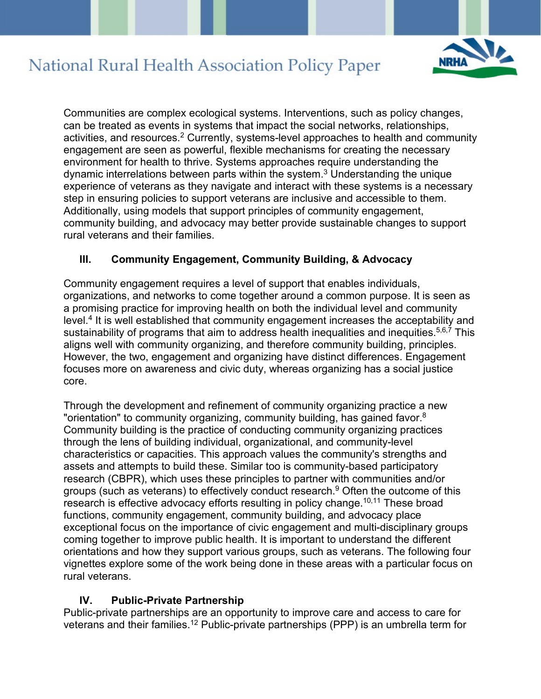

Communities are complex ecological systems. Interventions, such as policy changes, can be treated as events in systems that impact the social networks, relationships, activities, and resources.<sup>2</sup> Currently, systems-level approaches to health and community engagement are seen as powerful, flexible mechanisms for creating the necessary environment for health to thrive. Systems approaches require understanding the dynamic interrelations between parts within the system. <sup>3</sup> Understanding the unique experience of veterans as they navigate and interact with these systems is a necessary step in ensuring policies to support veterans are inclusive and accessible to them. Additionally, using models that support principles of community engagement, community building, and advocacy may better provide sustainable changes to support rural veterans and their families.

### **III. Community Engagement, Community Building, & Advocacy**

Community engagement requires a level of support that enables individuals, organizations, and networks to come together around a common purpose. It is seen as a promising practice for improving health on both the individual level and community level.4 It is well established that community engagement increases the acceptability and sustainability of programs that aim to address health inequalities and inequities.<sup>5,6,7</sup> This aligns well with community organizing, and therefore community building, principles. However, the two, engagement and organizing have distinct differences. Engagement focuses more on awareness and civic duty, whereas organizing has a social justice core.

Through the development and refinement of community organizing practice a new "orientation" to community organizing, community building, has gained favor.<sup>8</sup> Community building is the practice of conducting community organizing practices through the lens of building individual, organizational, and community-level characteristics or capacities. This approach values the community's strengths and assets and attempts to build these. Similar too is community-based participatory research (CBPR), which uses these principles to partner with communities and/or groups (such as veterans) to effectively conduct research. <sup>9</sup> Often the outcome of this research is effective advocacy efforts resulting in policy change.<sup>10,11</sup> These broad functions, community engagement, community building, and advocacy place exceptional focus on the importance of civic engagement and multi-disciplinary groups coming together to improve public health. It is important to understand the different orientations and how they support various groups, such as veterans. The following four vignettes explore some of the work being done in these areas with a particular focus on rural veterans.

### **IV. Public-Private Partnership**

Public-private partnerships are an opportunity to improve care and access to care for veterans and their families.12 Public-private partnerships (PPP) is an umbrella term for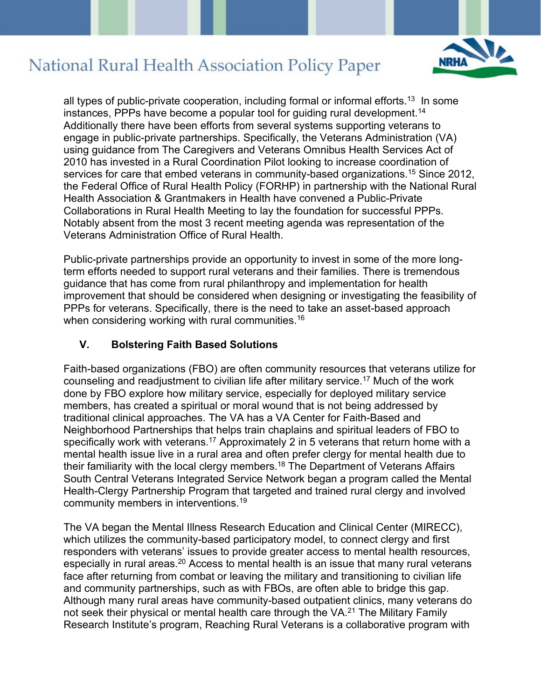

all types of public-private cooperation, including formal or informal efforts.<sup>13</sup> In some instances, PPPs have become a popular tool for guiding rural development. 14 Additionally there have been efforts from several systems supporting veterans to engage in public-private partnerships. Specifically, the Veterans Administration (VA) using guidance from The Caregivers and Veterans Omnibus Health Services Act of 2010 has invested in a Rural Coordination Pilot looking to increase coordination of services for care that embed veterans in community-based organizations.<sup>15</sup> Since 2012, the Federal Office of Rural Health Policy (FORHP) in partnership with the National Rural Health Association & Grantmakers in Health have convened a Public-Private Collaborations in Rural Health Meeting to lay the foundation for successful PPPs. Notably absent from the most 3 recent meeting agenda was representation of the Veterans Administration Office of Rural Health.

Public-private partnerships provide an opportunity to invest in some of the more longterm efforts needed to support rural veterans and their families. There is tremendous guidance that has come from rural philanthropy and implementation for health improvement that should be considered when designing or investigating the feasibility of PPPs for veterans. Specifically, there is the need to take an asset-based approach when considering working with rural communities. $^{\rm 16}$ 

### **V. Bolstering Faith Based Solutions**

Faith-based organizations (FBO) are often community resources that veterans utilize for counseling and readjustment to civilian life after military service. <sup>17</sup> Much of the work done by FBO explore how military service, especially for deployed military service members, has created a spiritual or moral wound that is not being addressed by traditional clinical approaches. The VA has a VA Center for Faith-Based and Neighborhood Partnerships that helps train chaplains and spiritual leaders of FBO to specifically work with veterans.<sup>17</sup> Approximately 2 in 5 veterans that return home with a mental health issue live in a rural area and often prefer clergy for mental health due to their familiarity with the local clergy members. <sup>18</sup> The Department of Veterans Affairs South Central Veterans Integrated Service Network began a program called the Mental Health-Clergy Partnership Program that targeted and trained rural clergy and involved community members in interventions. 19

The VA began the Mental Illness Research Education and Clinical Center (MIRECC), which utilizes the community-based participatory model, to connect clergy and first responders with veterans' issues to provide greater access to mental health resources, especially in rural areas.<sup>20</sup> Access to mental health is an issue that many rural veterans face after returning from combat or leaving the military and transitioning to civilian life and community partnerships, such as with FBOs, are often able to bridge this gap. Although many rural areas have community-based outpatient clinics, many veterans do not seek their physical or mental health care through the VA. <sup>21</sup> The Military Family Research Institute's program, Reaching Rural Veterans is a collaborative program with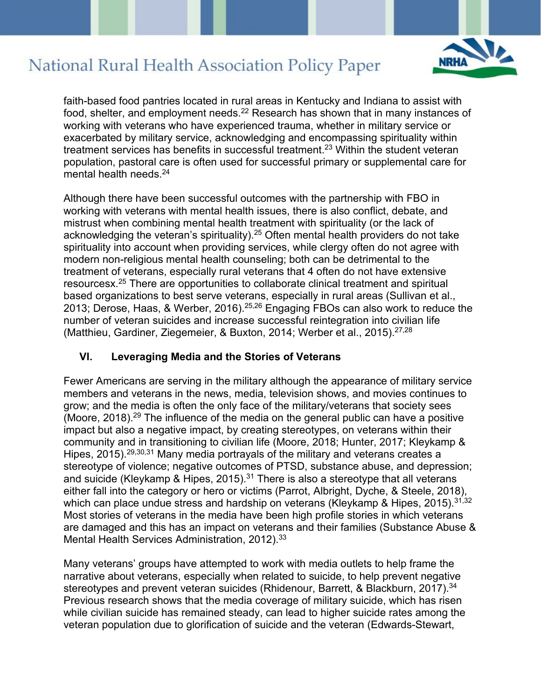

faith-based food pantries located in rural areas in Kentucky and Indiana to assist with food, shelter, and employment needs. <sup>22</sup> Research has shown that in many instances of working with veterans who have experienced trauma, whether in military service or exacerbated by military service, acknowledging and encompassing spirituality within treatment services has benefits in successful treatment. <sup>23</sup> Within the student veteran population, pastoral care is often used for successful primary or supplemental care for mental health needs.<sup>24</sup>

Although there have been successful outcomes with the partnership with FBO in working with veterans with mental health issues, there is also conflict, debate, and mistrust when combining mental health treatment with spirituality (or the lack of acknowledging the veteran's spirituality). <sup>25</sup> Often mental health providers do not take spirituality into account when providing services, while clergy often do not agree with modern non-religious mental health counseling; both can be detrimental to the treatment of veterans, especially rural veterans that 4 often do not have extensive resourcesx. <sup>25</sup> There are opportunities to collaborate clinical treatment and spiritual based organizations to best serve veterans, especially in rural areas (Sullivan et al., 2013; Derose, Haas, & Werber, 2016).25,26 Engaging FBOs can also work to reduce the number of veteran suicides and increase successful reintegration into civilian life (Matthieu, Gardiner, Ziegemeier, & Buxton, 2014; Werber et al., 2015).<sup>27,28</sup>

### **VI. Leveraging Media and the Stories of Veterans**

Fewer Americans are serving in the military although the appearance of military service members and veterans in the news, media, television shows, and movies continues to grow; and the media is often the only face of the military/veterans that society sees (Moore, 2018).29 The influence of the media on the general public can have a positive impact but also a negative impact, by creating stereotypes, on veterans within their community and in transitioning to civilian life (Moore, 2018; Hunter, 2017; Kleykamp & Hipes, 2015).<sup>29,30,31</sup> Many media portrayals of the military and veterans creates a stereotype of violence; negative outcomes of PTSD, substance abuse, and depression; and suicide (Kleykamp & Hipes, 2015).<sup>31</sup> There is also a stereotype that all veterans either fall into the category or hero or victims (Parrot, Albright, Dyche, & Steele, 2018), which can place undue stress and hardship on veterans (Kleykamp & Hipes, 2015).  $31,32$ Most stories of veterans in the media have been high profile stories in which veterans are damaged and this has an impact on veterans and their families (Substance Abuse & Mental Health Services Administration, 2012).<sup>33</sup>

Many veterans' groups have attempted to work with media outlets to help frame the narrative about veterans, especially when related to suicide, to help prevent negative stereotypes and prevent veteran suicides (Rhidenour, Barrett, & Blackburn, 2017).<sup>34</sup> Previous research shows that the media coverage of military suicide, which has risen while civilian suicide has remained steady, can lead to higher suicide rates among the veteran population due to glorification of suicide and the veteran (Edwards-Stewart,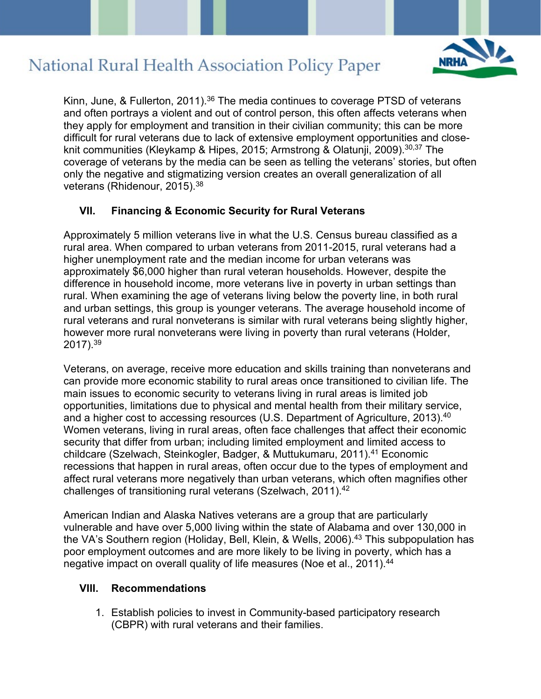

Kinn, June, & Fullerton, 2011).<sup>36</sup> The media continues to coverage PTSD of veterans and often portrays a violent and out of control person, this often affects veterans when they apply for employment and transition in their civilian community; this can be more difficult for rural veterans due to lack of extensive employment opportunities and closeknit communities (Kleykamp & Hipes, 2015; Armstrong & Olatunji, 2009).<sup>30,37</sup> The coverage of veterans by the media can be seen as telling the veterans' stories, but often only the negative and stigmatizing version creates an overall generalization of all veterans (Rhidenour, 2015).<sup>38</sup>

### **VII. Financing & Economic Security for Rural Veterans**

Approximately 5 million veterans live in what the U.S. Census bureau classified as a rural area. When compared to urban veterans from 2011-2015, rural veterans had a higher unemployment rate and the median income for urban veterans was approximately \$6,000 higher than rural veteran households. However, despite the difference in household income, more veterans live in poverty in urban settings than rural. When examining the age of veterans living below the poverty line, in both rural and urban settings, this group is younger veterans. The average household income of rural veterans and rural nonveterans is similar with rural veterans being slightly higher, however more rural nonveterans were living in poverty than rural veterans (Holder, 2017).39

Veterans, on average, receive more education and skills training than nonveterans and can provide more economic stability to rural areas once transitioned to civilian life. The main issues to economic security to veterans living in rural areas is limited job opportunities, limitations due to physical and mental health from their military service, and a higher cost to accessing resources (U.S. Department of Agriculture, 2013).<sup>40</sup> Women veterans, living in rural areas, often face challenges that affect their economic security that differ from urban; including limited employment and limited access to childcare (Szelwach, Steinkogler, Badger, & Muttukumaru, 2011).41 Economic recessions that happen in rural areas, often occur due to the types of employment and affect rural veterans more negatively than urban veterans, which often magnifies other challenges of transitioning rural veterans (Szelwach, 2011).42

American Indian and Alaska Natives veterans are a group that are particularly vulnerable and have over 5,000 living within the state of Alabama and over 130,000 in the VA's Southern region (Holiday, Bell, Klein, & Wells, 2006).<sup>43</sup> This subpopulation has poor employment outcomes and are more likely to be living in poverty, which has a negative impact on overall quality of life measures (Noe et al., 2011).<sup>44</sup>

#### **VIII. Recommendations**

1. Establish policies to invest in Community-based participatory research (CBPR) with rural veterans and their families.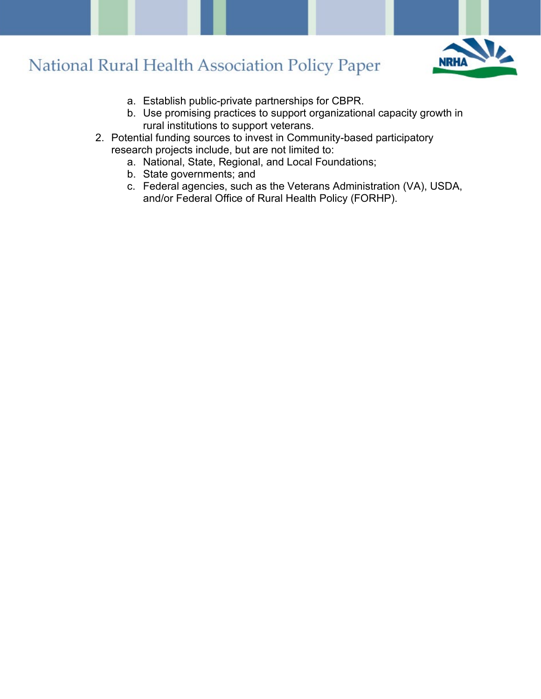

- a. Establish public-private partnerships for CBPR.
- b. Use promising practices to support organizational capacity growth in rural institutions to support veterans.
- 2. Potential funding sources to invest in Community-based participatory research projects include, but are not limited to:
	- a. National, State, Regional, and Local Foundations;
	- b. State governments; and
	- c. Federal agencies, such as the Veterans Administration (VA), USDA, and/or Federal Office of Rural Health Policy (FORHP).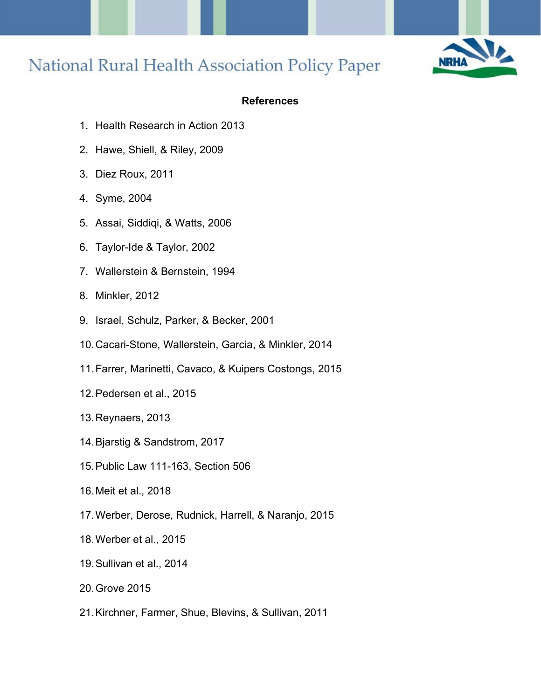

### **References**

- 1. Health Research in Action 2013
- 2. Hawe, Shiell, & Riley, 2009
- 3. Diez Roux, 2011
- 4. Syme, 2004
- 5. Assai, Siddiqi, & Watts, 2006
- 6. Taylor-Ide & Taylor, 2002
- 7. Wallerstein & Bernstein, 1994
- 8. Minkler, 2012
- 9. Israel, Schulz, Parker, & Becker, 2001
- 10.Cacari-Stone, Wallerstein, Garcia, & Minkler, 2014
- 11.Farrer, Marinetti, Cavaco, & Kuipers Costongs, 2015
- 12.Pedersen et al., 2015
- 13.Reynaers, 2013
- 14.Bjarstig & Sandstrom, 2017
- 15.Public Law 111-163, Section 506
- 16.Meit et al., 2018
- 17.Werber, Derose, Rudnick, Harrell, & Naranjo, 2015
- 18.Werber et al., 2015
- 19.Sullivan et al., 2014
- 20.Grove 2015
- 21.Kirchner, Farmer, Shue, Blevins, & Sullivan, 2011